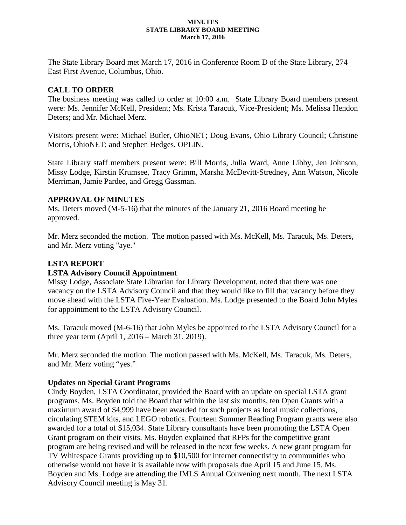#### **MINUTES STATE LIBRARY BOARD MEETING March 17, 2016**

The State Library Board met March 17, 2016 in Conference Room D of the State Library, 274 East First Avenue, Columbus, Ohio.

### **CALL TO ORDER**

The business meeting was called to order at 10:00 a.m. State Library Board members present were: Ms. Jennifer McKell, President; Ms. Krista Taracuk, Vice-President; Ms. Melissa Hendon Deters; and Mr. Michael Merz.

Visitors present were: Michael Butler, OhioNET; Doug Evans, Ohio Library Council; Christine Morris, OhioNET; and Stephen Hedges, OPLIN.

State Library staff members present were: Bill Morris, Julia Ward, Anne Libby, Jen Johnson, Missy Lodge, Kirstin Krumsee, Tracy Grimm, Marsha McDevitt-Stredney, Ann Watson, Nicole Merriman, Jamie Pardee, and Gregg Gassman.

#### **APPROVAL OF MINUTES**

Ms. Deters moved (M-5-16) that the minutes of the January 21, 2016 Board meeting be approved.

Mr. Merz seconded the motion. The motion passed with Ms. McKell, Ms. Taracuk, Ms. Deters, and Mr. Merz voting "aye."

# **LSTA REPORT**

#### **LSTA Advisory Council Appointment**

Missy Lodge, Associate State Librarian for Library Development, noted that there was one vacancy on the LSTA Advisory Council and that they would like to fill that vacancy before they move ahead with the LSTA Five-Year Evaluation. Ms. Lodge presented to the Board John Myles for appointment to the LSTA Advisory Council.

Ms. Taracuk moved (M-6-16) that John Myles be appointed to the LSTA Advisory Council for a three year term (April 1, 2016 – March 31, 2019).

Mr. Merz seconded the motion. The motion passed with Ms. McKell, Ms. Taracuk, Ms. Deters, and Mr. Merz voting "yes."

#### **Updates on Special Grant Programs**

Cindy Boyden, LSTA Coordinator, provided the Board with an update on special LSTA grant programs. Ms. Boyden told the Board that within the last six months, ten Open Grants with a maximum award of \$4,999 have been awarded for such projects as local music collections, circulating STEM kits, and LEGO robotics. Fourteen Summer Reading Program grants were also awarded for a total of \$15,034. State Library consultants have been promoting the LSTA Open Grant program on their visits. Ms. Boyden explained that RFPs for the competitive grant program are being revised and will be released in the next few weeks. A new grant program for TV Whitespace Grants providing up to \$10,500 for internet connectivity to communities who otherwise would not have it is available now with proposals due April 15 and June 15. Ms. Boyden and Ms. Lodge are attending the IMLS Annual Convening next month. The next LSTA Advisory Council meeting is May 31.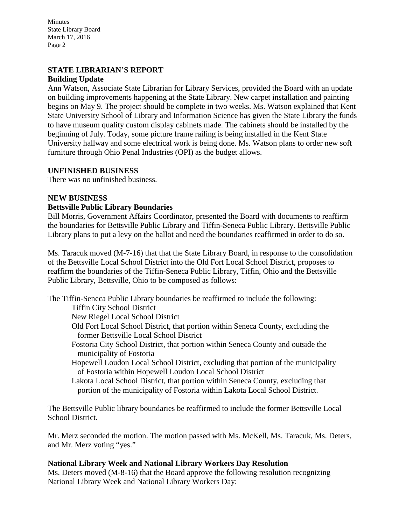Minutes State Library Board March 17, 2016 Page 2

#### **STATE LIBRARIAN'S REPORT Building Update**

Ann Watson, Associate State Librarian for Library Services, provided the Board with an update on building improvements happening at the State Library. New carpet installation and painting begins on May 9. The project should be complete in two weeks. Ms. Watson explained that Kent State University School of Library and Information Science has given the State Library the funds to have museum quality custom display cabinets made. The cabinets should be installed by the beginning of July. Today, some picture frame railing is being installed in the Kent State University hallway and some electrical work is being done. Ms. Watson plans to order new soft furniture through Ohio Penal Industries (OPI) as the budget allows.

# **UNFINISHED BUSINESS**

There was no unfinished business.

#### **NEW BUSINESS**

# **Bettsville Public Library Boundaries**

Bill Morris, Government Affairs Coordinator, presented the Board with documents to reaffirm the boundaries for Bettsville Public Library and Tiffin-Seneca Public Library. Bettsville Public Library plans to put a levy on the ballot and need the boundaries reaffirmed in order to do so.

Ms. Taracuk moved (M-7-16) that that the State Library Board, in response to the consolidation of the Bettsville Local School District into the Old Fort Local School District, proposes to reaffirm the boundaries of the Tiffin-Seneca Public Library, Tiffin, Ohio and the Bettsville Public Library, Bettsville, Ohio to be composed as follows:

The Tiffin-Seneca Public Library boundaries be reaffirmed to include the following:

Tiffin City School District

New Riegel Local School District

- Old Fort Local School District, that portion within Seneca County, excluding the former Bettsville Local School District
- Fostoria City School District, that portion within Seneca County and outside the municipality of Fostoria
- Hopewell Loudon Local School District, excluding that portion of the municipality of Fostoria within Hopewell Loudon Local School District
- Lakota Local School District, that portion within Seneca County, excluding that portion of the municipality of Fostoria within Lakota Local School District.

The Bettsville Public library boundaries be reaffirmed to include the former Bettsville Local School District.

Mr. Merz seconded the motion. The motion passed with Ms. McKell, Ms. Taracuk, Ms. Deters, and Mr. Merz voting "yes."

# **National Library Week and National Library Workers Day Resolution**

Ms. Deters moved (M-8-16) that the Board approve the following resolution recognizing National Library Week and National Library Workers Day: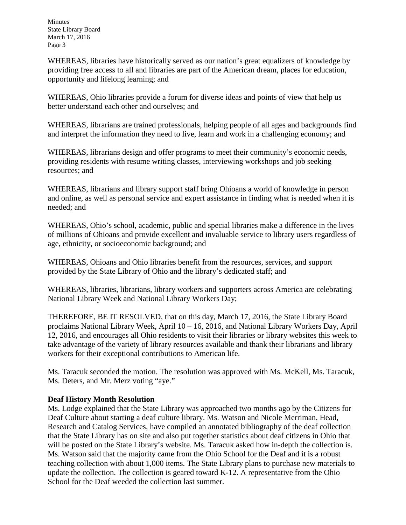Minutes State Library Board March 17, 2016 Page 3

WHEREAS, libraries have historically served as our nation's great equalizers of knowledge by providing free access to all and libraries are part of the American dream, places for education, opportunity and lifelong learning; and

WHEREAS, Ohio libraries provide a forum for diverse ideas and points of view that help us better understand each other and ourselves; and

WHEREAS, librarians are trained professionals, helping people of all ages and backgrounds find and interpret the information they need to live, learn and work in a challenging economy; and

WHEREAS, librarians design and offer programs to meet their community's economic needs, providing residents with resume writing classes, interviewing workshops and job seeking resources; and

WHEREAS, librarians and library support staff bring Ohioans a world of knowledge in person and online, as well as personal service and expert assistance in finding what is needed when it is needed; and

WHEREAS, Ohio's school, academic, public and special libraries make a difference in the lives of millions of Ohioans and provide excellent and invaluable service to library users regardless of age, ethnicity, or socioeconomic background; and

WHEREAS, Ohioans and Ohio libraries benefit from the resources, services, and support provided by the State Library of Ohio and the library's dedicated staff; and

WHEREAS, libraries, librarians, library workers and supporters across America are celebrating National Library Week and National Library Workers Day;

THEREFORE, BE IT RESOLVED, that on this day, March 17, 2016, the State Library Board proclaims National Library Week, April 10 – 16, 2016, and National Library Workers Day, April 12, 2016, and encourages all Ohio residents to visit their libraries or library websites this week to take advantage of the variety of library resources available and thank their librarians and library workers for their exceptional contributions to American life.

Ms. Taracuk seconded the motion. The resolution was approved with Ms. McKell, Ms. Taracuk, Ms. Deters, and Mr. Merz voting "aye."

# **Deaf History Month Resolution**

Ms. Lodge explained that the State Library was approached two months ago by the Citizens for Deaf Culture about starting a deaf culture library. Ms. Watson and Nicole Merriman, Head, Research and Catalog Services, have compiled an annotated bibliography of the deaf collection that the State Library has on site and also put together statistics about deaf citizens in Ohio that will be posted on the State Library's website. Ms. Taracuk asked how in-depth the collection is. Ms. Watson said that the majority came from the Ohio School for the Deaf and it is a robust teaching collection with about 1,000 items. The State Library plans to purchase new materials to update the collection. The collection is geared toward K-12. A representative from the Ohio School for the Deaf weeded the collection last summer.